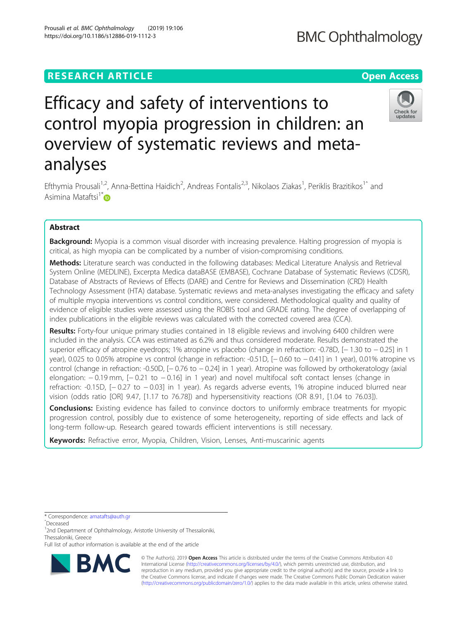# **RESEARCH ARTICLE Example 2014 12:30 The Contract of Contract ACCESS**

# Efficacy and safety of interventions to control myopia progression in children: an overview of systematic reviews and metaanalyses

Efthymia Prousali<sup>1,2</sup>, Anna-Bettina Haidich<sup>2</sup>, Andreas Fontalis<sup>2,3</sup>, Nikolaos Ziakas<sup>1</sup>, Periklis Brazitikos<sup>1^</sup> and Asimina Mataftsi $1^* \bullet$  $1^* \bullet$  $1^* \bullet$ 

## Abstract

**Background:** Myopia is a common visual disorder with increasing prevalence. Halting progression of myopia is critical, as high myopia can be complicated by a number of vision-compromising conditions.

Methods: Literature search was conducted in the following databases: Medical Literature Analysis and Retrieval System Online (MEDLINE), Excerpta Medica dataBASE (EMBASE), Cochrane Database of Systematic Reviews (CDSR), Database of Abstracts of Reviews of Effects (DARE) and Centre for Reviews and Dissemination (CRD) Health Technology Assessment (HTA) database. Systematic reviews and meta-analyses investigating the efficacy and safety of multiple myopia interventions vs control conditions, were considered. Methodological quality and quality of evidence of eligible studies were assessed using the ROBIS tool and GRADE rating. The degree of overlapping of index publications in the eligible reviews was calculated with the corrected covered area (CCA).

Results: Forty-four unique primary studies contained in 18 eligible reviews and involving 6400 children were included in the analysis. CCA was estimated as 6.2% and thus considered moderate. Results demonstrated the superior efficacy of atropine eyedrops; 1% atropine vs placebo (change in refraction: -0.78D, [− 1.30 to − 0.25] in 1 year), 0.025 to 0.05% atropine vs control (change in refraction: -0.51D, [− 0.60 to − 0.41] in 1 year), 0.01% atropine vs control (change in refraction: -0.50D, [− 0.76 to − 0.24] in 1 year). Atropine was followed by orthokeratology (axial elongation: −0.19 mm, [−0.21 to −0.16] in 1 year) and novel multifocal soft contact lenses (change in refraction: -0.15D, [− 0.27 to − 0.03] in 1 year). As regards adverse events, 1% atropine induced blurred near vision (odds ratio [OR] 9.47, [1.17 to 76.78]) and hypersensitivity reactions (OR 8.91, [1.04 to 76.03]).

**Conclusions:** Existing evidence has failed to convince doctors to uniformly embrace treatments for myopic progression control, possibly due to existence of some heterogeneity, reporting of side effects and lack of long-term follow-up. Research geared towards efficient interventions is still necessary.

Keywords: Refractive error, Myopia, Children, Vision, Lenses, Anti-muscarinic agents

\* Correspondence: [amatafts@auth.gr](mailto:amatafts@auth.gr) <sup>ˆ</sup>Deceased

© The Author(s). 2019 **Open Access** This article is distributed under the terms of the Creative Commons Attribution 4.0 International License [\(http://creativecommons.org/licenses/by/4.0/](http://creativecommons.org/licenses/by/4.0/)), which permits unrestricted use, distribution, and reproduction in any medium, provided you give appropriate credit to the original author(s) and the source, provide a link to the Creative Commons license, and indicate if changes were made. The Creative Commons Public Domain Dedication waiver [\(http://creativecommons.org/publicdomain/zero/1.0/](http://creativecommons.org/publicdomain/zero/1.0/)) applies to the data made available in this article, unless otherwise stated.







<sup>&</sup>lt;sup>1</sup>2nd Department of Ophthalmology, Aristotle University of Thessaloniki, Thessaloniki, Greece

Full list of author information is available at the end of the article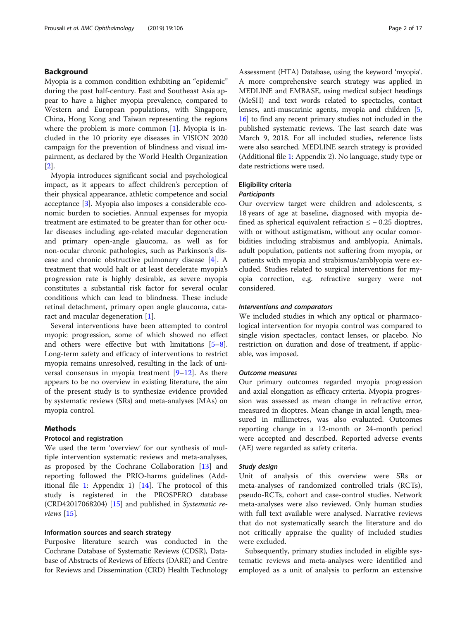## Background

Myopia is a common condition exhibiting an "epidemic" during the past half-century. East and Southeast Asia appear to have a higher myopia prevalence, compared to Western and European populations, with Singapore, China, Hong Kong and Taiwan representing the regions where the problem is more common [[1\]](#page-15-0). Myopia is included in the 10 priority eye diseases in VISION 2020 campaign for the prevention of blindness and visual impairment, as declared by the World Health Organization [[2\]](#page-15-0).

Myopia introduces significant social and psychological impact, as it appears to affect children's perception of their physical appearance, athletic competence and social acceptance [[3\]](#page-15-0). Myopia also imposes a considerable economic burden to societies. Annual expenses for myopia treatment are estimated to be greater than for other ocular diseases including age-related macular degeneration and primary open-angle glaucoma, as well as for non-ocular chronic pathologies, such as Parkinson's disease and chronic obstructive pulmonary disease [[4\]](#page-15-0). A treatment that would halt or at least decelerate myopia's progression rate is highly desirable, as severe myopia constitutes a substantial risk factor for several ocular conditions which can lead to blindness. These include retinal detachment, primary open angle glaucoma, cataract and macular degeneration [\[1\]](#page-15-0).

Several interventions have been attempted to control myopic progression, some of which showed no effect and others were effective but with limitations [\[5](#page-15-0)–[8](#page-15-0)]. Long-term safety and efficacy of interventions to restrict myopia remains unresolved, resulting in the lack of universal consensus in myopia treatment  $[9-12]$  $[9-12]$  $[9-12]$ . As there appears to be no overview in existing literature, the aim of the present study is to synthesize evidence provided by systematic reviews (SRs) and meta-analyses (MAs) on myopia control.

#### Methods

#### Protocol and registration

We used the term 'overview' for our synthesis of multiple intervention systematic reviews and meta-analyses, as proposed by the Cochrane Collaboration [[13\]](#page-15-0) and reporting followed the PRIO-harms guidelines (Additional file [1:](#page-14-0) Appendix 1) [\[14](#page-15-0)]. The protocol of this study is registered in the PROSPERO database (CRD42017068204) [[15](#page-15-0)] and published in Systematic reviews  $[15]$  $[15]$ .

### Ιnformation sources and search strategy

Purposive literature search was conducted in the Cochrane Database of Systematic Reviews (CDSR), Database of Abstracts of Reviews of Effects (DARE) and Centre for Reviews and Dissemination (CRD) Health Technology Assessment (HTA) Database, using the keyword 'myopia'. A more comprehensive search strategy was applied in MEDLINE and EMBASE, using medical subject headings (MeSH) and text words related to spectacles, contact lenses, anti-muscarinic agents, myopia and children [[5](#page-15-0), [16](#page-15-0)] to find any recent primary studies not included in the published systematic reviews. The last search date was March 9, 2018. For all included studies, reference lists were also searched. MEDLINE search strategy is provided (Additional file [1](#page-14-0): Appendix 2). No language, study type or date restrictions were used.

#### Eligibility criteria

#### **Participants**

Our overview target were children and adolescents,  $\leq$ 18 years of age at baseline, diagnosed with myopia defined as spherical equivalent refraction  $\le -0.25$  dioptres, with or without astigmatism, without any ocular comorbidities including strabismus and amblyopia. Animals, adult population, patients not suffering from myopia, or patients with myopia and strabismus/amblyopia were excluded. Studies related to surgical interventions for myopia correction, e.g. refractive surgery were not considered.

#### Interventions and comparators

We included studies in which any optical or pharmacological intervention for myopia control was compared to single vision spectacles, contact lenses, or placebo. No restriction on duration and dose of treatment, if applicable, was imposed.

#### Outcome measures

Our primary outcomes regarded myopia progression and axial elongation as efficacy criteria. Myopia progression was assessed as mean change in refractive error, measured in dioptres. Mean change in axial length, measured in millimetres, was also evaluated. Outcomes reporting change in a 12-month or 24-month period were accepted and described. Reported adverse events (AE) were regarded as safety criteria.

#### Study design

Unit of analysis of this overview were SRs or meta-analyses of randomized controlled trials (RCTs), pseudo-RCTs, cohort and case-control studies. Network meta-analyses were also reviewed. Only human studies with full text available were analysed. Narrative reviews that do not systematically search the literature and do not critically appraise the quality of included studies were excluded.

Subsequently, primary studies included in eligible systematic reviews and meta-analyses were identified and employed as a unit of analysis to perform an extensive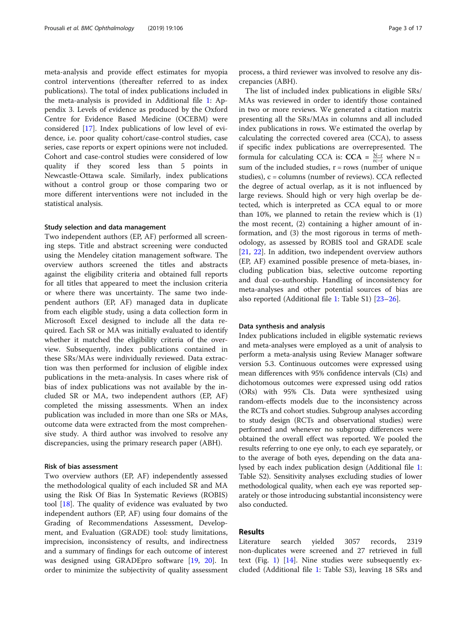meta-analysis and provide effect estimates for myopia control interventions (thereafter referred to as index publications). The total of index publications included in the meta-analysis is provided in Additional file [1:](#page-14-0) Appendix 3. Levels of evidence as produced by the Oxford Centre for Evidence Based Medicine (OCEBM) were considered [\[17](#page-15-0)]. Index publications of low level of evidence, i.e. poor quality cohort/case-control studies, case series, case reports or expert opinions were not included. Cohort and case-control studies were considered of low quality if they scored less than 5 points in Newcastle-Ottawa scale. Similarly, index publications without a control group or those comparing two or more different interventions were not included in the statistical analysis.

#### Study selection and data management

Two independent authors (EP, AF) performed all screening steps. Title and abstract screening were conducted using the Mendeley citation management software. The overview authors screened the titles and abstracts against the eligibility criteria and obtained full reports for all titles that appeared to meet the inclusion criteria or where there was uncertainty. The same two independent authors (EP, AF) managed data in duplicate from each eligible study, using a data collection form in Microsoft Excel designed to include all the data required. Each SR or MA was initially evaluated to identify whether it matched the eligibility criteria of the overview. Subsequently, index publications contained in these SRs/MAs were individually reviewed. Data extraction was then performed for inclusion of eligible index publications in the meta-analysis. In cases where risk of bias of index publications was not available by the included SR or MA, two independent authors (EP, AF) completed the missing assessments. When an index publication was included in more than one SRs or MAs, outcome data were extracted from the most comprehensive study. A third author was involved to resolve any discrepancies, using the primary research paper (ABH).

#### Risk of bias assessment

Two overview authors (EP, AF) independently assessed the methodological quality of each included SR and MA using the Risk Of Bias In Systematic Reviews (ROBIS) tool [[18](#page-15-0)]. The quality of evidence was evaluated by two independent authors (EP, AF) using four domains of the Grading of Recommendations Assessment, Development, and Evaluation (GRADE) tool: study limitations, imprecision, inconsistency of results, and indirectness and a summary of findings for each outcome of interest was designed using GRADEpro software [\[19,](#page-15-0) [20\]](#page-15-0). In order to minimize the subjectivity of quality assessment

process, a third reviewer was involved to resolve any discrepancies (ABH).

The list of included index publications in eligible SRs/ MAs was reviewed in order to identify those contained in two or more reviews. We generated a citation matrix presenting all the SRs/MAs in columns and all included index publications in rows. We estimated the overlap by calculating the corrected covered area (CCA), to assess if specific index publications are overrepresented. The formula for calculating CCA is: **CCA** =  $\frac{N-r}{rc-r}$  where N = sum of the included studies,  $r = rows$  (number of unique studies), c = columns (number of reviews). CCA reflected the degree of actual overlap, as it is not influenced by large reviews. Should high or very high overlap be detected, which is interpreted as CCA equal to or more than 10%, we planned to retain the review which is (1) the most recent, (2) containing a higher amount of information, and (3) the most rigorous in terms of methodology, as assessed by ROBIS tool and GRADE scale [[21,](#page-15-0) [22](#page-16-0)]. In addition, two independent overview authors (EP, AF) examined possible presence of meta-biases, including publication bias, selective outcome reporting and dual co-authorship. Handling of inconsistency for meta-analyses and other potential sources of bias are also reported (Additional file [1:](#page-14-0) Table S1) [\[23](#page-16-0)–[26\]](#page-16-0).

#### Data synthesis and analysis

Index publications included in eligible systematic reviews and meta-analyses were employed as a unit of analysis to perform a meta-analysis using Review Manager software version 5.3. Continuous outcomes were expressed using mean differences with 95% confidence intervals (CIs) and dichotomous outcomes were expressed using odd ratios (ORs) with 95% CIs. Data were synthesized using random-effects models due to the inconsistency across the RCTs and cohort studies. Subgroup analyses according to study design (RCTs and observational studies) were performed and whenever no subgroup differences were obtained the overall effect was reported. We pooled the results referring to one eye only, to each eye separately, or to the average of both eyes, depending on the data analysed by each index publication design (Additional file [1](#page-14-0): Table S2). Sensitivity analyses excluding studies of lower methodological quality, when each eye was reported separately or those introducing substantial inconsistency were also conducted.

#### Results

Literature search yielded 3057 records, 2319 non-duplicates were screened and 27 retrieved in full text (Fig. [1](#page-3-0))  $[14]$  $[14]$  $[14]$ . Nine studies were subsequently excluded (Additional file [1](#page-14-0): Table S3), leaving 18 SRs and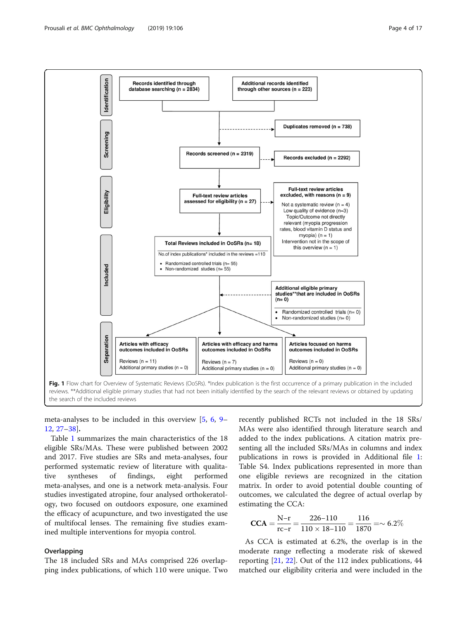<span id="page-3-0"></span>

meta-analyses to be included in this overview [\[5](#page-15-0), [6](#page-15-0), [9](#page-15-0)– [12,](#page-15-0) [27](#page-16-0)–[38](#page-16-0)].

Table [1](#page-4-0) summarizes the main characteristics of the 18 eligible SRs/MAs. These were published between 2002 and 2017. Five studies are SRs and meta-analyses, four performed systematic review of literature with qualitative syntheses of findings, eight performed meta-analyses, and one is a network meta-analysis. Four studies investigated atropine, four analysed orthokeratology, two focused on outdoors exposure, one examined the efficacy of acupuncture, and two investigated the use of multifocal lenses. The remaining five studies examined multiple interventions for myopia control.

#### Overlapping

The 18 included SRs and MAs comprised 226 overlapping index publications, of which 110 were unique. Two recently published RCTs not included in the 18 SRs/ MAs were also identified through literature search and added to the index publications. A citation matrix presenting all the included SRs/MAs in columns and index publications in rows is provided in Additional file [1](#page-14-0): Table S4. Index publications represented in more than one eligible reviews are recognized in the citation matrix. In order to avoid potential double counting of outcomes, we calculated the degree of actual overlap by estimating the CCA:

$$
CCA = \frac{N-r}{rc-r} = \frac{226-110}{110 \times 18-110} = \frac{116}{1870} = \sim 6.2\%
$$

As CCA is estimated at 6.2%, the overlap is in the moderate range reflecting a moderate risk of skewed reporting [\[21,](#page-15-0) [22](#page-16-0)]. Out of the 112 index publications, 44 matched our eligibility criteria and were included in the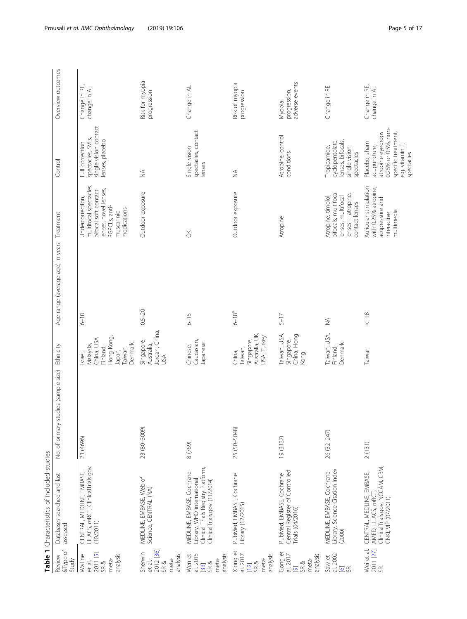<span id="page-4-0"></span>

|                                                                             | Table 1 Characteristics of included studies                                                                                   |                                      |                                                                                               |                                            |                                                                                                                                           |                                                                                                                                   |                                          |
|-----------------------------------------------------------------------------|-------------------------------------------------------------------------------------------------------------------------------|--------------------------------------|-----------------------------------------------------------------------------------------------|--------------------------------------------|-------------------------------------------------------------------------------------------------------------------------------------------|-----------------------------------------------------------------------------------------------------------------------------------|------------------------------------------|
| &Type of<br>Review<br>Study                                                 | Databases searched and last<br>assessed                                                                                       | No. of primary studies (sample size) | Ethnicity                                                                                     | Age range (average age) in years Treatment |                                                                                                                                           | Control                                                                                                                           | Overview outcomes                        |
| 2011 [5]<br>analysis<br>Walline<br>meta-<br>et al.<br>SR&                   | LILACS, mRCT, ClinicalTrials.gov<br>CENTRAL, MEDLINE, EMBASE,<br>(10/2011)                                                    | 23 (4696)                            | Hong Kong,<br>China, USA,<br>Denmark<br>Malaysia,<br>Finland,<br>Taiwan,<br>Japan,<br>Israel, | $6 - 18$                                   | multifocal spectacles,<br>lenses, novel lenses,<br>bifocal soft contact<br>Undercorrection,<br>RGPCLs, anti-<br>medications<br>muscarinic | single vision contact<br>spectacles, SVLs,<br>lenses, placebo<br>Full correction                                                  | Change in RE,<br>change in AL            |
| 2012 [36]<br>Sherwin<br>analysis<br>meta-<br>et al.<br>SR &                 | MEDLINE, EMBASE, Web of<br>Science, CENTRAL (NA)                                                                              | 23 (80-3009)                         | Jordan, China,<br>Singapore,<br>Australia,<br>USA                                             | $0.5 - 20$                                 | Outdoor exposure                                                                                                                          | $\lessapprox$                                                                                                                     | Risk for myopia<br>progression           |
| al. 2015<br>analysis<br>Wen et<br>meta-<br>SR &<br>$[33]$                   | Library, WHO international<br>Clinical Trials Registry Platform,<br>MEDLINE, EMBASE, Cochrane<br>ClinicalTrials.gov (11/2014) | 8 (769)                              | Caucasian,<br>Japanese<br>Chinese,                                                            | $6 - 15$                                   | $\breve{\circ}$                                                                                                                           | spectacles, contact<br>Single vision<br>lenses                                                                                    | Change in AL                             |
| Xiong et<br>al. 2017<br>analysis<br>meta-<br>SR &<br>$[12]$                 | PubMed, EMBASE, Cochrane<br>Library (12/2015)                                                                                 | 25 (50-5048)                         | Australia, UK,<br>USA, Turkey<br>Singapore,<br>laiwan,<br>China,                              | $6 - 18^{a}$                               | Outdoor exposure                                                                                                                          | $\lessapprox$                                                                                                                     | Risk of myopia<br>progression            |
| Gong et<br>al. 2017<br>analysis<br>meta-<br>SR&<br>$\overline{\mathcal{O}}$ | Central Register of Controlled<br>PubMed, EMBASE, Cochrane<br>Trials (04/2016)                                                | 19 (3137)                            | Taiwan, USA,<br>China, Hong<br>Singapore,<br>Kong                                             | $5 - 17$                                   | Atropine                                                                                                                                  | Atropine, control<br>conditions                                                                                                   | adverse events<br>progression,<br>Myopia |
| al. 2002<br>Saw et<br>$\overline{6}$ $\approx$                              | Library, Science Citation Index<br>(2000)<br>MEDLINE, EMBASE, Cochrane                                                        | 26 (32-247)                          | Taiwan, USA,<br>Denmark<br>Finland,                                                           | $\lessgtr$                                 | bifocals, multifocal<br>lenses + atropine,<br>Atropine, timolol,<br>lenses, multifocal<br>contact lenses                                  | lenses, bifocals,<br>cyclopentolate,<br>Tropicamide,<br>single vision<br>spectacles                                               | Change in RE                             |
| Wei et al.<br>2011 [27]<br>SR                                               | ClinicalTrials.gov, NCCAM, CBM,<br>CNKI, VIP (07/2011)<br>CENTRAL, MEDLINE, EMBASE,<br>AMED, LILACS, mRCT,                    | 2(131)                               | Taiwan                                                                                        | $\frac{8}{5}$                              | Auricular stimulation<br>with 0.25% atropine,<br>acupressure and<br>multimedia<br>interactive                                             | 0.25% or 0.5%, non-<br>atropine eyedrops<br>specific treatment,<br>Placebo, sham<br>e.g. vitamin E,<br>acupuncture,<br>spectacles | Change in RE,<br>change in AL            |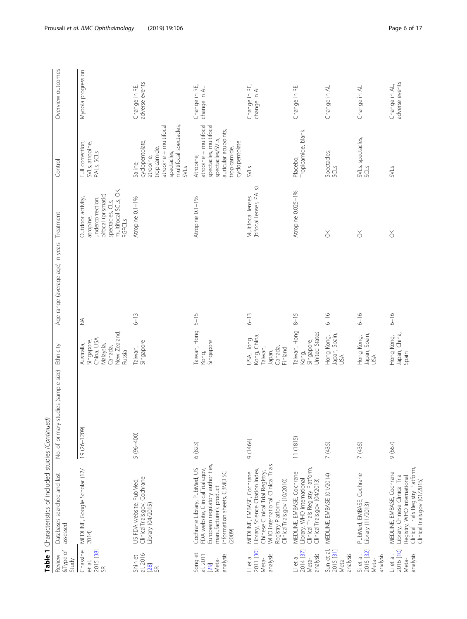|                                                   | Table 1 Characteristics of included studies (Continued)                                                                                                                                      |                                      |                                                                                           |                                            |                                                                                                                                        |                                                                                                                                            |                                 |
|---------------------------------------------------|----------------------------------------------------------------------------------------------------------------------------------------------------------------------------------------------|--------------------------------------|-------------------------------------------------------------------------------------------|--------------------------------------------|----------------------------------------------------------------------------------------------------------------------------------------|--------------------------------------------------------------------------------------------------------------------------------------------|---------------------------------|
| &Type of<br>Review<br>Study                       | Databases searched and last<br>assessed                                                                                                                                                      | No. of primary studies (sample size) | Ethnicity                                                                                 | Age range (average age) in years Treatment |                                                                                                                                        | Control                                                                                                                                    | Overview outcomes               |
| et al.<br>2015 [38]<br>Chassine<br>S <sub>1</sub> | MEDLINE, Google Scholar (12/<br>2014)                                                                                                                                                        | 19 (26-1209)                         | New Zealand,<br>China, USA,<br>Singapore,<br>Malaysia,<br>Australia,<br>Canada,<br>Russia | $\stackrel{\triangle}{\geq}$               | multifocal SCLs, OK,<br>bifocal (prismatic)<br>Outdoor activity,<br>undercorrection,<br>spectacles, CLs,<br>atropine,<br><b>RGPCLS</b> | Full correction,<br>SVLs, atropine,<br>PALS, SCLS                                                                                          | Myopia progression              |
| al. 2016<br>Shih et<br>[28]<br>$\Im$              | ClinicalTrials.gov, Cochrane<br>Library (04/2015)<br>US FDA website, PubMed,                                                                                                                 | $5(96 - 400)$                        | Singapore<br>Taiwan,                                                                      | $6 - 13$                                   | Atropine 0.1-1%                                                                                                                        | atropine + multifocal<br>multifocal spectacles,<br>cyclopentolate,<br>tropicamide,<br>spectacles,<br>atropine,<br>Saline,<br><b>SVLS</b>   | adverse events<br>Change in RE, |
| Song et<br>analysis<br>al. 2011<br>Meta-<br>[29]  | European regulatory authorities,<br>Cochrane Library, PubMed, US<br>FDA website, ClinicalTrials.gov,<br>information sheets, CBMDISC<br>manufacturer's product<br>(2009)                      | 6 (823)                              | Taiwan, Hong<br>Singapore<br>Kong,                                                        | $5 - 15$                                   | Atropine 0.1-1%                                                                                                                        | atropine + multifocal<br>spectacles, multifocal<br>auricular acupoints,<br>spectacles/SVLs,<br>cyclopentolate<br>tropicamide,<br>Atropine, | Change in RE,<br>change in AL   |
| Li et al.<br>2011 [30]<br>analysis<br>Meta-       | WHO international Clinical Trials<br>Library, Science Citation Index,<br>MEDLINE, EMBASE, Cochrane<br>Chinese Clinical Trial Registry,<br>ClinicalTrials.gov (10/2010)<br>Registry Platform, | (1464)                               | Kong, China,<br>JSA, Hong<br>Taiwan,<br>Canada,<br>Finland<br>Japan,                      | $6 - 13$                                   | (bifocal lenses, PALs)<br>Multifocal lenses                                                                                            | <b>SVLS</b>                                                                                                                                | Change in RE,<br>change in AL   |
| 2014 [37]<br>analysis<br>Li et al.<br>Meta-       | Clinical Trials Registry Platform,<br>MEDLINE, EMBASE, Cochrane<br>Library, WHO international<br>ClinicalTrials.gov (04/2013)                                                                | 11(1815)                             | Taiwan, Hong<br>United States<br>Singapore,<br>Kong,                                      | $8 - 15$                                   | Atropine 0.025-1%                                                                                                                      | Tropicamide, blank<br>Placebo,                                                                                                             | Change in RE                    |
| Sun et al.<br>2015 [31]<br>analysis<br>Meta-      | MEDLINE, EMBASE (01/2014)                                                                                                                                                                    | 7 (435)                              | Hong Kong,<br>Japan, Spain,<br>USA                                                        | $6 - 16$                                   | $\breve{\sigma}$                                                                                                                       | Spectacles,<br>SCLS                                                                                                                        | Change in AL                    |
| Si et al.<br>2015 [32]<br>analysis<br>Meta-       | PubMed, EMBASE, Cochrane<br>Library (11/2013)                                                                                                                                                | 7 (435)                              | Japan, Spain,<br>USA<br>Hong Kong,                                                        | $6 - 16$                                   | š                                                                                                                                      | SVLs, spectacles,<br>SCLS                                                                                                                  | Change in AL                    |
| 2016 [10]<br>analysis<br>Li et al.<br>Meta-       | Clinical Trials Registry Platform,<br>MEDLINE, EMBASE, Cochrane<br>Library, Chinese Clinical Trial<br>Registry, WHO international<br>ClinicalTrials.gov (01/2015)                            | 9(667)                               | Japan, China,<br>Hong Kong,<br>Spain                                                      | $6 - 16$                                   | $\breve{\sigma}$                                                                                                                       | SVLs                                                                                                                                       | adverse events<br>Change in AL, |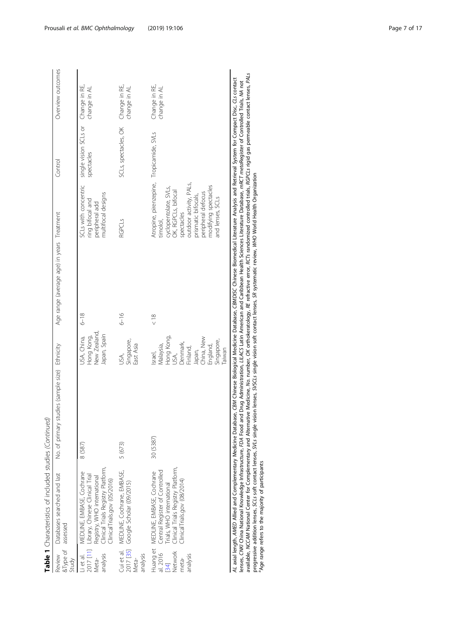| S<br>J                                                              |  |
|---------------------------------------------------------------------|--|
| j                                                                   |  |
| ֠<br>֖֖֖֖֖֖֖֖֧ׅ֪ׅ֖֧֖֖֖֧ׅ֪֪֧֪֪֧֪֪ׅ֧֚֚֚֚֚֚֚֚֚֚֚֚֚֚֚֚֚֚֚֚֚֚֚֚֚֬֝֝֓֞֝֝֝ |  |
|                                                                     |  |
| j<br>l                                                              |  |
|                                                                     |  |
|                                                                     |  |
| Table 1 Char                                                        |  |

|                                                                | Table 1 Characteristics of included studies (Continued)                                                                                                                                                    |                                                                                                                                                                                                                                                                                                                                                                                                         |                                                                                                                                       |                                                                                                                                                                                                                                                                                             |                                                                                                                                                                                                                                        |                                     |                               |
|----------------------------------------------------------------|------------------------------------------------------------------------------------------------------------------------------------------------------------------------------------------------------------|---------------------------------------------------------------------------------------------------------------------------------------------------------------------------------------------------------------------------------------------------------------------------------------------------------------------------------------------------------------------------------------------------------|---------------------------------------------------------------------------------------------------------------------------------------|---------------------------------------------------------------------------------------------------------------------------------------------------------------------------------------------------------------------------------------------------------------------------------------------|----------------------------------------------------------------------------------------------------------------------------------------------------------------------------------------------------------------------------------------|-------------------------------------|-------------------------------|
| Review<br>Study                                                | Databases searched and last<br>&Type of assessed                                                                                                                                                           | ies (sample size)<br>No. of primary stud                                                                                                                                                                                                                                                                                                                                                                | Ethnicity                                                                                                                             | Age range (average age) in years Treatment                                                                                                                                                                                                                                                  |                                                                                                                                                                                                                                        | Control                             | Overview outcomes             |
| 2017 [11]<br>analysis<br>Li et al.<br>Meta-                    | Clinical Trials Registry Platform,<br>MEDLINE, EMBASE, Cochrane<br>Library, Chinese Clinical Trial<br>Registry, WHO international<br>ClinicalTrials.gov (05/2016)                                          | 8 (587)                                                                                                                                                                                                                                                                                                                                                                                                 | New Zealand,<br>Japan, Spain<br>Hong Kong,<br>JSA, China,                                                                             | $6 - 18$                                                                                                                                                                                                                                                                                    | SCLs with concentric<br>multifocal designs<br>ring bifocal and<br>peripheral add                                                                                                                                                       | single vision SCLs or<br>spectacles | Change in RE,<br>change in AL |
| Cui et al.<br>2017 [35]<br>analysis<br>Meta-                   | MEDLINE, Cochrane, EMBASE,<br>Google Scholar (09/2015)                                                                                                                                                     | 5 (673)                                                                                                                                                                                                                                                                                                                                                                                                 | Singapore,<br>East Asia<br>JSA,                                                                                                       | $6 - 16$                                                                                                                                                                                                                                                                                    | <b>RGPCLS</b>                                                                                                                                                                                                                          | SCLs, spectacles, OK                | Change in RE,<br>change in AL |
| Huang et<br>Network<br>al. 2016<br>analysis<br>meta-<br>$[34]$ | Clinical Trials Registry Platform,<br>Central Register of Controlled<br>Trials, WHO international<br>MEDLINE, EMBASE, Cochrane<br>ClinicalTrials.gov (08/2014)                                             | 30 (5387)                                                                                                                                                                                                                                                                                                                                                                                               | Hong Kong,<br>China, New<br>Singapore,<br>Denmark,<br>Malaysia,<br>England,<br>Finland,<br><b>Taiwan</b><br>Japan,<br>JSA,<br>Israel, | $\frac{8}{5}$                                                                                                                                                                                                                                                                               | Atropine, pirenzepine, Tropicamide, SVLs<br>outdoor activity, PALs,<br>modifying spectacles<br>cyclopentolate, SVLs,<br>OK, RGPCLs, bifocal<br>peripheral defocus<br>prismatic bifocals,<br>and lenses, SCLs<br>spectacles<br>timolol, |                                     | Change in RE,<br>change in AL |
|                                                                | lenses, CNKI China National Knowledge Infrastructure, FDA Food and I<br>AL axial length, AMED Allied and Complementary Medicine Database,<br><sup>a</sup> Age range refers to the majority of participants | available, NCCAM National Center for Complementary and Alternative Medicine, Mo. number, Of orthokeratology, RE refractive error, RCTs randomized controlled trials, RGPCLs rigid gas permeable contact lenses, PALs<br>progressive addition lenses, SCLs soft contact lenses, SVLs single vision lenses, SuscLs single vision soft contact lenses, SR systematic review, WHO World Health Organization |                                                                                                                                       | CBM Chinese Biological Medicine Database, CBMD/SC Chinese Biomedical Literature Analysis and Retrieval System for Compact Disc, CLs contact<br>Drug Administration, LILACS Latin American and Caribbean Health Sciences Literature Database, mRCT metaRegister of Controlled Trials, MA not |                                                                                                                                                                                                                                        |                                     |                               |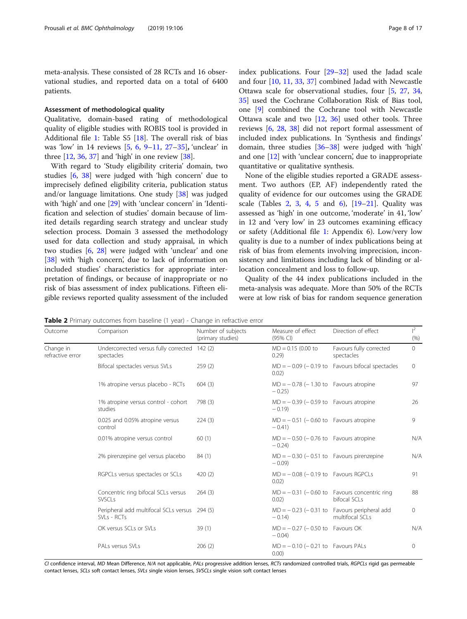<span id="page-7-0"></span>meta-analysis. These consisted of 28 RCTs and 16 observational studies, and reported data on a total of 6400 patients.

#### Assessment of methodological quality

Qualitative, domain-based rating of methodological quality of eligible studies with ROBIS tool is provided in Additional file [1:](#page-14-0) Table S5 [[18](#page-15-0)]. The overall risk of bias was 'low' in 14 reviews [[5](#page-15-0), [6,](#page-15-0) [9](#page-15-0)–[11](#page-15-0), [27](#page-16-0)–[35](#page-16-0)], 'unclear' in three  $[12, 36, 37]$  $[12, 36, 37]$  $[12, 36, 37]$  $[12, 36, 37]$  $[12, 36, 37]$  $[12, 36, 37]$  $[12, 36, 37]$  and 'high' in one review  $[38]$  $[38]$ .

With regard to 'Study eligibility criteria' domain, two studies [[6](#page-15-0), [38\]](#page-16-0) were judged with 'high concern' due to imprecisely defined eligibility criteria, publication status and/or language limitations. One study [\[38](#page-16-0)] was judged with 'high' and one [[29](#page-16-0)] with 'unclear concern' in 'Identification and selection of studies' domain because of limited details regarding search strategy and unclear study selection process. Domain 3 assessed the methodology used for data collection and study appraisal, in which two studies [[6,](#page-15-0) [28](#page-16-0)] were judged with 'unclear' and one [[38\]](#page-16-0) with 'high concern', due to lack of information on included studies' characteristics for appropriate interpretation of findings, or because of inappropriate or no risk of bias assessment of index publications. Fifteen eligible reviews reported quality assessment of the included index publications. Four [\[29](#page-16-0)–[32](#page-16-0)] used the Jadad scale and four [\[10,](#page-15-0) [11,](#page-15-0) [33](#page-16-0), [37](#page-16-0)] combined Jadad with Newcastle Ottawa scale for observational studies, four [\[5](#page-15-0), [27,](#page-16-0) [34](#page-16-0), [35\]](#page-16-0) used the Cochrane Collaboration Risk of Bias tool, one [\[9](#page-15-0)] combined the Cochrane tool with Newcastle Ottawa scale and two [[12,](#page-15-0) [36](#page-16-0)] used other tools. Three reviews [\[6](#page-15-0), [28](#page-16-0), [38](#page-16-0)] did not report formal assessment of included index publications. In 'Synthesis and findings' domain, three studies [[36](#page-16-0)–[38](#page-16-0)] were judged with 'high' and one [\[12\]](#page-15-0) with 'unclear concern', due to inappropriate quantitative or qualitative synthesis.

None of the eligible studies reported a GRADE assessment. Two authors (EP, AF) independently rated the quality of evidence for our outcomes using the GRADE scale (Tables 2, [3,](#page-8-0) [4](#page-8-0), [5](#page-9-0) and [6\)](#page-10-0),  $[19-21]$  $[19-21]$  $[19-21]$  $[19-21]$  $[19-21]$ . Quality was assessed as 'high' in one outcome, 'moderate' in 41, 'low' in 12 and 'very low' in 23 outcomes examining efficacy or safety (Additional file [1:](#page-14-0) Appendix 6). Low/very low quality is due to a number of index publications being at risk of bias from elements involving imprecision, inconsistency and limitations including lack of blinding or allocation concealment and loss to follow-up.

Quality of the 44 index publications included in the meta-analysis was adequate. More than 50% of the RCTs were at low risk of bias for random sequence generation

Table 2 Primary outcomes from baseline (1 year) - Change in refractive error

| Outcome                       | Comparison                                                   | Number of subjects<br>(primary studies) | Measure of effect<br>(95% CI)                         | Direction of effect                                               | $\vert^2$<br>(% ) |
|-------------------------------|--------------------------------------------------------------|-----------------------------------------|-------------------------------------------------------|-------------------------------------------------------------------|-------------------|
| Change in<br>refractive error | Undercorrected versus fully corrected 142 (2)<br>spectacles  |                                         | $MD = 0.15$ (0.00 to<br>0.29                          | Favours fully corrected<br>spectacles                             | $\Omega$          |
|                               | Bifocal spectacles versus SVLs                               | 259(2)                                  | 0.02)                                                 | $MD = -0.09$ (-0.19 to Favours bifocal spectacles                 | 0                 |
|                               | 1% atropine versus placebo - RCTs                            | 604(3)                                  | $MD = -0.78$ ( $-1.30$ to Favours atropine<br>$-0.25$ |                                                                   | 97                |
|                               | 1% atropine versus control - cohort<br>studies               | 798 (3)                                 | $MD = -0.39$ (-0.59 to Favours atropine<br>$-0.19$    |                                                                   | 26                |
|                               | 0.025 and 0.05% atropine versus<br>control                   | 224(3)                                  | $MD = -0.51$ (-0.60 to Favours atropine<br>$-0.41$    |                                                                   | 9                 |
|                               | 0.01% atropine versus control                                | 60(1)                                   | $MD = -0.50$ ( $-0.76$ to Favours atropine<br>$-0.24$ |                                                                   | N/A               |
|                               | 2% pirenzepine gel versus placebo                            | 84(1)                                   | $MD = -0.30 (-0.51 to$ Favours pirenzepine<br>$-0.09$ |                                                                   | N/A               |
|                               | RGPCLs versus spectacles or SCLs                             | 420(2)                                  | $MD = -0.08$ ( $-0.19$ to Favours RGPCLs<br>0.02)     |                                                                   | 91                |
|                               | Concentric ring bifocal SCLs versus<br>SVSCL <sub>S</sub>    | 264(3)                                  | 0.02)                                                 | $MD = -0.31$ ( $-0.60$ to Favours concentric ring<br>bifocal SCLs | 88                |
|                               | Peripheral add multifocal SCLs versus 294 (5)<br>SVLs - RCTs |                                         | $-0.14$                                               | $MD = -0.23$ (-0.31 to Favours peripheral add<br>multifocal SCLs  | $\circ$           |
|                               | OK versus SCLs or SVLs                                       | 39(1)                                   | $MD = -0.27 (-0.50 to$ Favours OK<br>$-0.04$ )        |                                                                   | N/A               |
|                               | PALs versus SVLs                                             | 206(2)                                  | $MD = -0.10 (-0.21 to Favours PALS)$<br>0.00          |                                                                   | $\circ$           |

CI confidence interval, MD Mean Difference, N/A not applicable, PALs progressive addition lenses, RCTs randomized controlled trials, RGPCLs rigid gas permeable contact lenses, SCLs soft contact lenses, SVLs single vision lenses, SVSCLs single vision soft contact lenses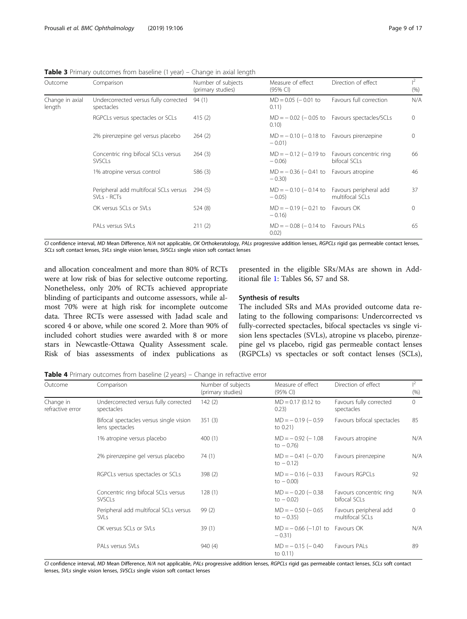<span id="page-8-0"></span>Table 3 Primary outcomes from baseline (1 year) – Change in axial length

| Outcome                   | Comparison                                           | Number of subjects<br>(primary studies) | Measure of effect<br>(95% CI)                           | Direction of effect                                              | $1^2$<br>(% ) |
|---------------------------|------------------------------------------------------|-----------------------------------------|---------------------------------------------------------|------------------------------------------------------------------|---------------|
| Change in axial<br>length | Undercorrected versus fully corrected<br>spectacles  | 94(1)                                   | $MD = 0.05$ ( $- 0.01$ to<br>0.11)                      | Favours full correction                                          | N/A           |
|                           | RGPCLs versus spectacles or SCLs                     | 415(2)                                  | 0.10                                                    | $MD = -0.02$ ( $-0.05$ to Favours spectacles/SCLs                | $\Omega$      |
|                           | 2% pirenzepine gel versus placebo                    | 264(2)                                  | $MD = -0.10$ (-0.18 to Favours pirenzepine<br>$-0.01$ ) |                                                                  | $\Omega$      |
|                           | Concentric ring bifocal SCLs versus<br><b>SVSCLs</b> | 264(3)                                  | $-0.06$ )                                               | $MD = -0.12$ (-0.19 to Favours concentric ring<br>bifocal SCLs   | 66            |
|                           | 1% atropine versus control                           | 586 (3)                                 | $MD = -0.36 (-0.41 to$ Favours atropine<br>$-0.30$      |                                                                  | 46            |
|                           | Peripheral add multifocal SCLs versus<br>SVLs - RCTs | 294(5)                                  | $-0.05$                                                 | $MD = -0.10$ (-0.14 to Favours peripheral add<br>multifocal SCLs | 37            |
|                           | OK versus SCLs or SVLs                               | 524 (8)                                 | $MD = -0.19 (-0.21 to$ Favours OK<br>$-0.16$            |                                                                  | $\Omega$      |
|                           | PALs versus SVLs                                     | 211(2)                                  | $MD = -0.08 (-0.14 to$ Favours PALs<br>0.02)            |                                                                  | 65            |

CI confidence interval, MD Mean Difference, N/A not applicable, OK Orthokeratology, PALs progressive addition lenses, RGPCLs rigid gas permeable contact lenses, SCLs soft contact lenses, SVLs single vision lenses, SVSCLs single vision soft contact lenses

and allocation concealment and more than 80% of RCTs were at low risk of bias for selective outcome reporting. Nonetheless, only 20% of RCTs achieved appropriate blinding of participants and outcome assessors, while almost 70% were at high risk for incomplete outcome data. Three RCTs were assessed with Jadad scale and scored 4 or above, while one scored 2. More than 90% of included cohort studies were awarded with 8 or more stars in Newcastle-Ottawa Quality Assessment scale. Risk of bias assessments of index publications as

presented in the eligible SRs/MAs are shown in Additional file [1:](#page-14-0) Tables S6, S7 and S8.

#### Synthesis of results

The included SRs and MAs provided outcome data relating to the following comparisons: Undercorrected vs fully-corrected spectacles, bifocal spectacles vs single vision lens spectacles (SVLs), atropine vs placebo, pirenzepine gel vs placebo, rigid gas permeable contact lenses (RGPCLs) vs spectacles or soft contact lenses (SCLs),

Table 4 Primary outcomes from baseline (2 years) – Change in refractive error

| Outcome                       | Comparison                                                 | Number of subjects<br>(primary studies) | Measure of effect<br>$(95% \text{ Cl})$ | Direction of effect                       | $l^2$<br>(% ) |
|-------------------------------|------------------------------------------------------------|-----------------------------------------|-----------------------------------------|-------------------------------------------|---------------|
| Change in<br>refractive error | Undercorrected versus fully corrected<br>spectacles        | 142(2)                                  | $MD = 0.17$ (0.12 to<br>0.23)           | Favours fully corrected<br>spectacles     | $\Omega$      |
|                               | Bifocal spectacles versus single vision<br>lens spectacles | 351(3)                                  | $MD = -0.19 (-0.59)$<br>to $0.21$ )     | Favours bifocal spectacles                | 85            |
|                               | 1% atropine versus placebo                                 | 400(1)                                  | $MD = -0.92 (-1.08$<br>to $-0.76$ )     | Favours atropine                          | N/A           |
|                               | 2% pirenzepine gel versus placebo                          | 74(1)                                   | $MD = -0.41 (-0.70$<br>to $-0.12$ )     | Favours pirenzepine                       | N/A           |
|                               | RGPCLs versus spectacles or SCLs                           | 398(2)                                  | $MD = -0.16 (-0.33)$<br>to $-0.00$ )    | Favours RGPCLs                            | 92            |
|                               | Concentric ring bifocal SCLs versus<br><b>SVSCLs</b>       | 128(1)                                  | $MD = -0.20 (-0.38)$<br>to $-0.02$ )    | Favours concentric ring<br>bifocal SCLs   | N/A           |
|                               | Peripheral add multifocal SCLs versus<br><b>SVLs</b>       | 99(2)                                   | $MD = -0.50 (-0.65)$<br>to $-0.35$ )    | Favours peripheral add<br>multifocal SCLs | $\Omega$      |
|                               | OK versus SCLs or SVLs                                     | 39(1)                                   | $MD = -0.66 (-1.01 to$<br>$-0.31$       | Favours OK                                | N/A           |
|                               | PALs versus SVLs                                           | 940 (4)                                 | $MD = -0.15 (-0.40)$<br>to $0.11$ )     | Favours PALs                              | 89            |

CI confidence interval, MD Mean Difference, N/A not applicable, PALs progressive addition lenses, RGPCLs rigid gas permeable contact lenses, SCLs soft contact lenses, SVLs single vision lenses, SVSCLs single vision soft contact lenses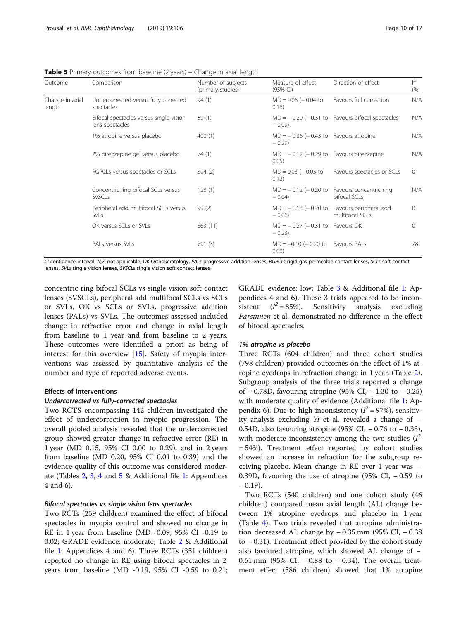<span id="page-9-0"></span>

| <b>Table 5</b> Primary outcomes from baseline (2 years) - Change in axial length |  |  |  |
|----------------------------------------------------------------------------------|--|--|--|
|                                                                                  |  |  |  |

| Outcome                   | Comparison                                                 | Number of subjects<br>(primary studies) | Measure of effect<br>(95% CI)                       | Direction of effect                                              | $l^2$<br>(% ) |
|---------------------------|------------------------------------------------------------|-----------------------------------------|-----------------------------------------------------|------------------------------------------------------------------|---------------|
| Change in axial<br>length | Undercorrected versus fully corrected<br>spectacles        | 94(1)                                   | $MD = 0.06 (-0.04 to$<br>0.16)                      | Favours full correction                                          | N/A           |
|                           | Bifocal spectacles versus single vision<br>lens spectacles | 89(1)                                   | $-0.09$                                             | $MD = -0.20$ ( $-0.31$ to Favours bifocal spectacles             | N/A           |
|                           | 1% atropine versus placebo                                 | 400(1)                                  | $MD = -0.36 (-0.43 to$ Favours atropine<br>$-0.29$  |                                                                  | N/A           |
|                           | 2% pirenzepine gel versus placebo                          | 74 (1)                                  | $MD = -0.12$ (-0.29 to Favours pirenzepine<br>0.05) |                                                                  | N/A           |
|                           | RGPCLs versus spectacles or SCLs                           | 394(2)                                  | $MD = 0.03 (-0.05 to$<br>0.12)                      | Favours spectacles or SCLs                                       | $\mathbf{0}$  |
|                           | Concentric ring bifocal SCLs versus<br><b>SVSCLs</b>       | 128(1)                                  | $-0.04$ )                                           | $MD = -0.12$ (-0.20 to Favours concentric ring<br>bifocal SCLs   | N/A           |
|                           | Peripheral add multifocal SCLs versus<br><b>SVLs</b>       | 99(2)                                   | $-0.06$                                             | $MD = -0.13$ (-0.20 to Favours peripheral add<br>multifocal SCLs | $\Omega$      |
|                           | OK versus SCLs or SVLs                                     | 663 (11)                                | $MD = -0.27 (-0.31 to$ Favours OK<br>$-0.23$        |                                                                  | $\Omega$      |
|                           | PALs versus SVLs                                           | 791 (3)                                 | $MD = -0.10 (-0.20 to$ Favours PALs<br>0.00)        |                                                                  | 78            |

CI confidence interval, N/A not applicable, OK Orthokeratology, PALs progressive addition lenses, RGPCLs rigid gas permeable contact lenses, SCLs soft contact lenses, SVLs single vision lenses, SVSCLs single vision soft contact lenses

concentric ring bifocal SCLs vs single vision soft contact lenses (SVSCLs), peripheral add multifocal SCLs vs SCLs or SVLs, OK vs SCLs or SVLs, progressive addition lenses (PALs) vs SVLs. The outcomes assessed included change in refractive error and change in axial length from baseline to 1 year and from baseline to 2 years. These outcomes were identified a priori as being of interest for this overview [[15\]](#page-15-0). Safety of myopia interventions was assessed by quantitative analysis of the number and type of reported adverse events.

#### Effects of interventions

#### Undercorrected vs fully-corrected spectacles

Two RCTS encompassing 142 children investigated the effect of undercorrection in myopic progression. The overall pooled analysis revealed that the undercorrected group showed greater change in refractive error (RE) in 1 year (MD 0.15, 95% CI 0.00 to 0.29), and in 2 years from baseline (MD 0.20, 95% CI 0.01 to 0.39) and the evidence quality of this outcome was considered moderate (Tables [2](#page-7-0), [3,](#page-8-0) [4](#page-8-0) and 5 & Additional file [1](#page-14-0): Appendices 4 and 6).

#### Bifocal spectacles vs single vision lens spectacles

Two RCTs (259 children) examined the effect of bifocal spectacles in myopia control and showed no change in RE in 1 year from baseline (MD -0.09, 95% CI -0.19 to 0.02; GRADE evidence: moderate; Table [2](#page-7-0) & Additional file [1:](#page-14-0) Appendices 4 and 6). Three RCTs (351 children) reported no change in RE using bifocal spectacles in 2 years from baseline (MD -0.19, 95% CI -0.59 to 0.21;

GRADE evidence: low; Table [3](#page-8-0) & Additional file [1:](#page-14-0) Appendices 4 and 6). These 3 trials appeared to be inconsistent (*l*<br>Parsinuon  $(I^2 = 85\%)$ . Sensitivity analysis excluding *Parsinnen* et al. demonstrated no difference in the effect of bifocal spectacles of bifocal spectacles.

#### 1% atropine vs placebo

Three RCTs (604 children) and three cohort studies (798 children) provided outcomes on the effect of 1% atropine eyedrops in refraction change in 1 year, (Table [2](#page-7-0)). Subgroup analysis of the three trials reported a change of − 0.78D, favouring atropine (95% CI, − 1.30 to − 0.25) with moderate quality of evidence (Additional file [1](#page-14-0): Appendix 6). Due to high inconsistency  $(I^2 = 97\%)$ , sensitiv-<br>ity analysis excluding *Yi* et al. revealed a change of – ity analysis excluding  $Yi$  et al. revealed a change of  $-$ 0.54D, also favouring atropine (95% CI, − 0.76 to − 0.33), with moderate inconsistency among the two studies  $(I^2 - 54\%)$  Treatment effect reported by cobort studies = 54%). Treatment effect reported by cohort studies showed an increase in refraction for the subgroup receiving placebo. Mean change in RE over 1 year was − 0.39D, favouring the use of atropine (95% CI, − 0.59 to  $-0.19$ ).

Two RCTs (540 children) and one cohort study (46 children) compared mean axial length (AL) change between 1% atropine eyedrops and placebo in 1 year (Table [4](#page-8-0)). Two trials revealed that atropine administration decreased AL change by − 0.35 mm (95% CI, − 0.38 to − 0.31). Treatment effect provided by the cohort study also favoured atropine, which showed AL change of − 0.61 mm (95% CI, − 0.88 to − 0.34). The overall treatment effect (586 children) showed that 1% atropine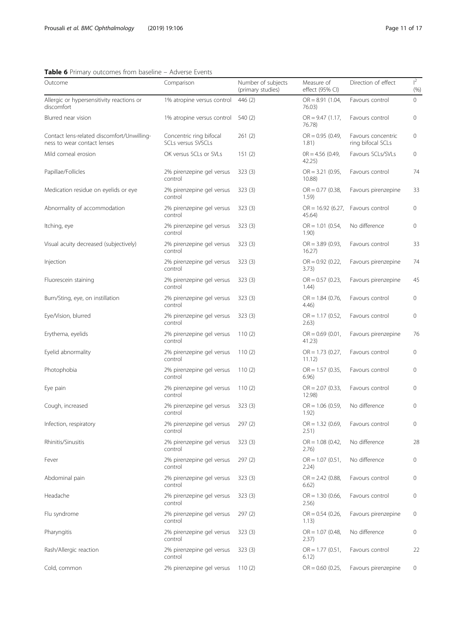<span id="page-10-0"></span>

| <b>Table 6</b> Primary outcomes from baseline – Adverse Events            |                                               |                                         |                               |                                         |                   |
|---------------------------------------------------------------------------|-----------------------------------------------|-----------------------------------------|-------------------------------|-----------------------------------------|-------------------|
| Outcome                                                                   | Comparison                                    | Number of subjects<br>(primary studies) | Measure of<br>effect (95% CI) | Direction of effect                     | $\vert^2$<br>(% ) |
| Allergic or hypersensitivity reactions or<br>discomfort                   | 1% atropine versus control                    | 446 (2)                                 | $OR = 8.91(1.04,$<br>76.03)   | Favours control                         | 0                 |
| Blurred near vision                                                       | 1% atropine versus control                    | 540 (2)                                 | $OR = 9.47(1.17)$<br>76.78)   | Favours control                         | 0                 |
| Contact lens-related discomfort/Unwilling-<br>ness to wear contact lenses | Concentric ring bifocal<br>SCLs versus SVSCLs | 261(2)                                  | $OR = 0.95 (0.49,$<br>1.81)   | Favours concentric<br>ring bifocal SCLs | 0                 |
| Mild corneal erosion                                                      | OK versus SCLs or SVLs                        | 151(2)                                  | $OR = 4.56 (0.49)$<br>42.25)  | Favours SCLs/SVLs                       | 0                 |
| Papillae/Follicles                                                        | 2% pirenzepine gel versus<br>control          | 323(3)                                  | $OR = 3.21 (0.95,$<br>10.88)  | Favours control                         | 74                |
| Medication residue on eyelids or eye                                      | 2% pirenzepine gel versus<br>control          | 323(3)                                  | $OR = 0.77$ (0.38,<br>1.59)   | Favours pirenzepine                     | 33                |
| Abnormality of accommodation                                              | 2% pirenzepine gel versus<br>control          | 323(3)                                  | $OR = 16.92(6.27)$<br>45.64)  | Favours control                         | 0                 |
| Itching, eye                                                              | 2% pirenzepine gel versus<br>control          | 323(3)                                  | $OR = 1.01 (0.54,$<br>1.90)   | No difference                           | 0                 |
| Visual acuity decreased (subjectively)                                    | 2% pirenzepine gel versus<br>control          | 323(3)                                  | $OR = 3.89$ (0.93,<br>16.27   | Favours control                         | 33                |
| Injection                                                                 | 2% pirenzepine gel versus<br>control          | 323(3)                                  | $OR = 0.92$ (0.22,<br>3.73)   | Favours pirenzepine                     | 74                |
| Fluorescein staining                                                      | 2% pirenzepine gel versus<br>control          | 323(3)                                  | $OR = 0.57$ (0.23,<br>1.44)   | Favours pirenzepine                     | 45                |
| Burn/Sting, eye, on instillation                                          | 2% pirenzepine gel versus<br>control          | 323(3)                                  | $OR = 1.84$ (0.76,<br>4.46)   | Favours control                         | 0                 |
| Eye/Vision, blurred                                                       | 2% pirenzepine gel versus<br>control          | 323(3)                                  | $OR = 1.17(0.52,$<br>2.63)    | Favours control                         | 0                 |
| Erythema, eyelids                                                         | 2% pirenzepine gel versus<br>control          | 110(2)                                  | $OR = 0.69(0.01,$<br>41.23)   | Favours pirenzepine                     | 76                |
| Eyelid abnormality                                                        | 2% pirenzepine gel versus<br>control          | 110(2)                                  | $OR = 1.73$ (0.27,<br>11.12)  | Favours control                         | 0                 |
| Photophobia                                                               | 2% pirenzepine gel versus<br>control          | 110(2)                                  | $OR = 1.57$ (0.35,<br>6.96)   | Favours control                         | 0                 |
| Eye pain                                                                  | 2% pirenzepine gel versus<br>control          | 110(2)                                  | $OR = 2.07 (0.33,$<br>12.98)  | Favours control                         | 0                 |
| Cough, increased                                                          | 2% pirenzepine gel versus<br>control          | 323(3)                                  | $OR = 1.06 (0.59,$<br>1.92)   | No difference                           | 0                 |
| Infection, respiratory                                                    | 2% pirenzepine gel versus<br>control          | 297(2)                                  | $OR = 1.32 (0.69,$<br>2.51)   | Favours control                         | 0                 |
| Rhinitis/Sinusitis                                                        | 2% pirenzepine gel versus<br>control          | 323(3)                                  | $OR = 1.08 (0.42,$<br>2.76)   | No difference                           | 28                |
| Fever                                                                     | 2% pirenzepine gel versus<br>control          | 297(2)                                  | $OR = 1.07 (0.51,$<br>2.24)   | No difference                           | 0                 |
| Abdominal pain                                                            | 2% pirenzepine gel versus<br>control          | 323(3)                                  | $OR = 2.42$ (0.88,<br>6.62)   | Favours control                         | 0                 |
| Headache                                                                  | 2% pirenzepine gel versus<br>control          | 323(3)                                  | $OR = 1.30 (0.66,$<br>2.56)   | Favours control                         | 0                 |
| Flu syndrome                                                              | 2% pirenzepine gel versus<br>control          | 297(2)                                  | $OR = 0.54$ (0.26,<br>1.13)   | Favours pirenzepine                     | 0                 |
| Pharyngitis                                                               | 2% pirenzepine gel versus<br>control          | 323(3)                                  | $OR = 1.07 (0.48,$<br>2.37)   | No difference                           | 0                 |
| Rash/Allergic reaction                                                    | 2% pirenzepine gel versus<br>control          | 323(3)                                  | $OR = 1.77$ (0.51,<br>6.12)   | Favours control                         | 22                |
| Cold, common                                                              | 2% pirenzepine gel versus                     | 110(2)                                  | $OR = 0.60$ (0.25,            | Favours pirenzepine                     | 0                 |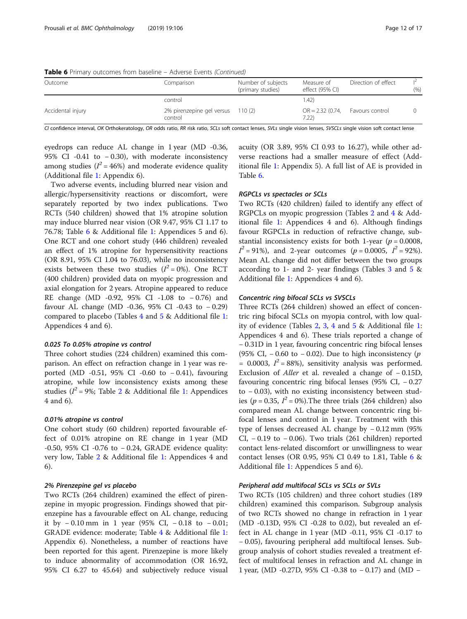| <b>I WATE &amp;</b> I initially battonited from bademic. That cide Events (continued) |                                      |                                         |                               |                     |      |
|---------------------------------------------------------------------------------------|--------------------------------------|-----------------------------------------|-------------------------------|---------------------|------|
| Outcome                                                                               | Comparison                           | Number of subjects<br>(primary studies) | Measure of<br>effect (95% CI) | Direction of effect | (% ) |
|                                                                                       | control                              |                                         | 1.42)                         |                     |      |
| Accidental injury                                                                     | 2% pirenzepine gel versus<br>control | 110(2)                                  | $OR = 2.32 (0.74,$<br>7.22    | Favours control     |      |

**Table 6** Primary outcomes from baseline – Adverse Events (Continued)

CI confidence interval, OK Orthokeratology, OR odds ratio, RR risk ratio, SCLs soft contact lenses, SVLs single vision lenses, SVSCLs single vision soft contact lense

eyedrops can reduce AL change in 1 year (MD -0.36, 95% CI -0.41 to − 0.30), with moderate inconsistency among studies ( $I^2 = 46\%$ ) and moderate evidence quality<br>(Additional file 1: Appendix 6) (Additional file [1](#page-14-0): Appendix 6).

Two adverse events, including blurred near vision and allergic/hypersensitivity reactions or discomfort, were separately reported by two index publications. Two RCTs (540 children) showed that 1% atropine solution may induce blurred near vision (OR 9.47, 95% CI 1.17 to 76.78; Table [6](#page-10-0) & Additional file [1](#page-14-0): Appendices 5 and 6). One RCT and one cohort study (446 children) revealed an effect of 1% atropine for hypersensitivity reactions (OR 8.91, 95% CI 1.04 to 76.03), while no inconsistency exists between these two studies  $(I^2 = 0\%)$ . One RCT (400 children) provided data on myonic progression and (400 children) provided data on myopic progression and axial elongation for 2 years. Atropine appeared to reduce RE change (MD -0.92, 95% CI -1.08 to − 0.76) and favour AL change (MD -0.36, 95% CI -0.43 to − 0.29) compared to placebo (Tables [4](#page-8-0) and [5](#page-9-0) & Additional file [1](#page-14-0): Appendices 4 and 6).

#### 0.025 To 0.05% atropine vs control

Three cohort studies (224 children) examined this comparison. An effect on refraction change in 1 year was reported (MD -0.51, 95% CI -0.60 to − 0.41), favouring atropine, while low inconsistency exists among these studies (I 2 = 9%; Table [2](#page-7-0) & Additional file [1](#page-14-0): Appendices 4 and 6).

#### 0.01% atropine vs control

One cohort study (60 children) reported favourable effect of 0.01% atropine on RE change in 1 year (MD -0.50, 95% CI -0.76 to − 0.24, GRADE evidence quality: very low, Table [2](#page-7-0) & Additional file [1:](#page-14-0) Appendices 4 and 6).

#### 2% Pirenzepine gel vs placebo

Two RCTs (264 children) examined the effect of pirenzepine in myopic progression. Findings showed that pirenzepine has a favourable effect on AL change, reducing it by − 0.10 mm in 1 year (95% CI, − 0.18 to − 0.01; GRADE evidence: moderate; Table [4](#page-8-0) & Additional file [1](#page-14-0): Appendix 6). Nonetheless, a number of reactions have been reported for this agent. Pirenzepine is more likely to induce abnormality of accommodation (OR 16.92, 95% CI 6.27 to 45.64) and subjectively reduce visual acuity (OR 3.89, 95% CI 0.93 to 16.27), while other adverse reactions had a smaller measure of effect (Additional file [1:](#page-14-0) Appendix 5). A full list of AE is provided in Table [6.](#page-10-0)

#### RGPCLs vs spectacles or SCLs

Two RCTs (420 children) failed to identify any effect of RGPCLs on myopic progression (Tables [2](#page-7-0) and [4](#page-8-0) & Additional file [1:](#page-14-0) Appendices 4 and 6). Although findings favour RGPCLs in reduction of refractive change, substantial inconsistency exists for both 1-year ( $p = 0.0008$ , Mean AL change did not differ between the two groups <sup>2</sup> = 91%), and 2-year outcomes ( $p = 0.0005$ ,  $I^2 = 92%$ ).<br>Mean AL change did not differ between the two groups according to 1- and 2- year findings (Tables [3](#page-8-0) and [5](#page-9-0) & Additional file [1](#page-14-0): Appendices 4 and 6).

#### Concentric ring bifocal SCLs vs SVSCLs

Three RCTs (264 children) showed an effect of concentric ring bifocal SCLs on myopia control, with low quality of evidence (Tables [2](#page-7-0), [3](#page-8-0), [4](#page-8-0) and [5](#page-9-0) & Additional file [1](#page-14-0): Appendices 4 and 6). These trials reported a change of − 0.31D in 1 year, favouring concentric ring bifocal lenses (95% CI, – 0.60 to – 0.02). Due to high inconsistency (p = 0.0003,  $I^2$  = 88%), sensitivity analysis was performed.<br>Exclusion of *Aller* et al. revealed a change of  $-0.15D$ Exclusion of Aller et al. revealed a change of <sup>−</sup> 0.15D, favouring concentric ring bifocal lenses (95% CI, − 0.27 to − 0.03), with no existing inconsistency between studies ( $p = 0.35$ ,  $I^2 = 0\%$ ). The three trials (264 children) also<br>compared mean AL change between concentric ring bicompared mean AL change between concentric ring bifocal lenses and control in 1 year. Treatment with this type of lenses decreased AL change by − 0.12 mm (95% CI,  $-0.19$  to  $-0.06$ ). Two trials (261 children) reported contact lens-related discomfort or unwillingness to wear contact lenses (OR 0.95, 95% CI 0.49 to 1.81, Table [6](#page-10-0) & Additional file [1](#page-14-0): Appendices 5 and 6).

#### Peripheral add multifocal SCLs vs SCLs or SVLs

Two RCTs (105 children) and three cohort studies (189 children) examined this comparison. Subgroup analysis of two RCTs showed no change in refraction in 1 year (MD -0.13D, 95% CI -0.28 to 0.02), but revealed an effect in AL change in 1 year (MD -0.11, 95% CI -0.17 to − 0.05), favouring peripheral add multifocal lenses. Subgroup analysis of cohort studies revealed a treatment effect of multifocal lenses in refraction and AL change in 1 year, (MD -0.27D, 95% CI -0.38 to − 0.17) and (MD −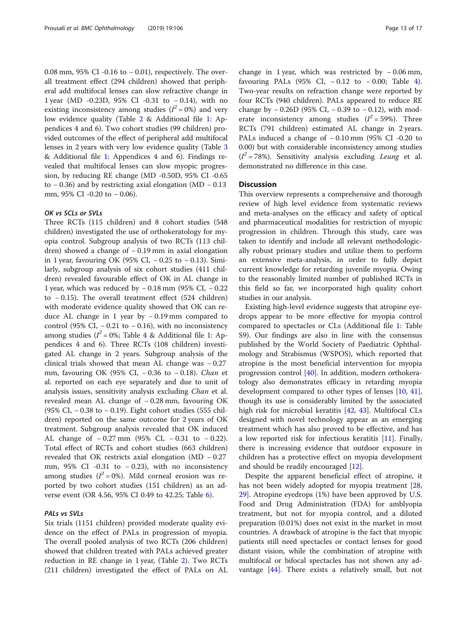0.08 mm, 95% CI -0.16 to − 0.01), respectively. The overall treatment effect (294 children) showed that peripheral add multifocal lenses can slow refractive change in 1 year (MD -0.23D, 95% CI -0.31 to − 0.14), with no existing inconsistency among studies  $(I^2 = 0\%)$  and very<br>low evidence quality (Table 2 & Additional file 1: Anlow evidence quality (Table [2](#page-7-0) & Additional file [1](#page-14-0): Appendices 4 and 6). Two cohort studies (99 children) provided outcomes of the effect of peripheral add multifocal lenses in 2 years with very low evidence quality (Table [3](#page-8-0) & Additional file [1:](#page-14-0) Appendices 4 and 6). Findings revealed that multifocal lenses can slow myopic progression, by reducing RE change (MD -0.50D, 95% CI -0.65 to − 0.36) and by restricting axial elongation (MD − 0.13 mm, 95% CI -0.20 to − 0.06).

#### OK vs SCLs or SVLs

Three RCTs (115 children) and 8 cohort studies (548 children) investigated the use of orthokeratology for myopia control. Subgroup analysis of two RCTs (113 children) showed a change of − 0.19 mm in axial elongation in 1 year, favouring OK (95% CI, − 0.25 to − 0.13). Similarly, subgroup analysis of six cohort studies (411 children) revealed favourable effect of OK in AL change in 1 year, which was reduced by − 0.18 mm (95% CI, − 0.22 to − 0.15). The overall treatment effect (524 children) with moderate evidence quality showed that OK can reduce AL change in 1 year by − 0.19 mm compared to control (95% CI,  $-0.21$  to  $-0.16$ ), with no inconsistency among studies ( $I^2 = 0\%$ ; Table [4](#page-8-0) & Additional file [1](#page-14-0): Ap-<br>pendices A and 6). Three RCTs (108 children) investipendices 4 and 6). Three RCTs (108 children) investigated AL change in 2 years. Subgroup analysis of the clinical trials showed that mean AL change was − 0.27 mm, favouring OK (95% CI, -0.36 to -0.18). Chan et al. reported on each eye separately and due to unit of analysis issues, sensitivity analysis excluding Chan et al. revealed mean AL change of − 0.28 mm, favouring OK (95% CI, − 0.38 to − 0.19). Eight cohort studies (555 children) reported on the same outcome for 2 years of OK treatment. Subgroup analysis revealed that OK induced AL change of − 0.27 mm (95% CI, − 0.31 to − 0.22). Total effect of RCTs and cohort studies (663 children) revealed that OK restricts axial elongation (MD − 0.27 mm, 95% CI -0.31 to − 0.23), with no inconsistency among studies  $(I^2 = 0\%)$ . Mild corneal erosion was re-<br>ported by two cobort studies (151 children) as an adported by two cohort studies (151 children) as an adverse event (OR 4.56, 95% CI 0.49 to 42.25; Table [6](#page-10-0)).

#### PALs vs SVLs

Six trials (1151 children) provided moderate quality evidence on the effect of PALs in progression of myopia. The overall pooled analysis of two RCTs (206 children) showed that children treated with PALs achieved greater reduction in RE change in 1 year, (Table [2](#page-7-0)). Two RCTs (211 children) investigated the effect of PALs on AL change in 1 year, which was restricted by − 0.06 mm, favouring PALs (95% CI, − 0.12 to − 0.00; Table [4](#page-8-0)). Two-year results on refraction change were reported by four RCTs (940 children). PALs appeared to reduce RE change by − 0.26D (95% CI, − 0.39 to − 0.12), with moderate inconsistency among studies  $(I^2 = 59\%)$ . Three<br>RCTs (791 children) estimated AL change in 2 years RCTs (791 children) estimated AL change in 2 years. PALs induced a change of − 0.10 mm (95% CI -0.20 to 0.00) but with considerable inconsistency among studies  $(I^2 = 78\%)$ . Sensitivity analysis excluding *Leung* et al.<br>demonstrated no difference in this case demonstrated no difference in this case.

#### **Discussion**

This overview represents a comprehensive and thorough review of high level evidence from systematic reviews and meta-analyses on the efficacy and safety of optical and pharmaceutical modalities for restriction of myopic progression in children. Through this study, care was taken to identify and include all relevant methodologically robust primary studies and utilize them to perform an extensive meta-analysis, in order to fully depict current knowledge for retarding juvenile myopia. Owing to the reasonably limited number of published RCTs in this field so far, we incorporated high quality cohort studies in our analysis.

Existing high-level evidence suggests that atropine eyedrops appear to be more effective for myopia control compared to spectacles or CLs (Additional file [1](#page-14-0): Table S9). Our findings are also in line with the consensus published by the World Society of Paediatric Ophthalmology and Strabismus (WSPOS), which reported that atropine is the most beneficial intervention for myopia progression control [\[40\]](#page-16-0). In addition, modern orthokeratology also demonstrates efficacy in retarding myopia development compared to other types of lenses [\[10,](#page-15-0) [41](#page-16-0)], though its use is considerably limited by the associated high risk for microbial keratitis [\[42](#page-16-0), [43\]](#page-16-0). Multifocal CLs designed with novel technology appear as an emerging treatment which has also proved to be effective, and has a low reported risk for infectious keratitis [\[11\]](#page-15-0). Finally, there is increasing evidence that outdoor exposure in children has a protective effect on myopia development and should be readily encouraged [[12](#page-15-0)].

Despite the apparent beneficial effect of atropine, it has not been widely adopted for myopia treatment [[28](#page-16-0), [29\]](#page-16-0). Atropine eyedrops (1%) have been approved by U.S. Food and Drug Administration (FDA) for amblyopia treatment, but not for myopia control, and a diluted preparation (0.01%) does not exist in the market in most countries. Α drawback of atropine is the fact that myopic patients still need spectacles or contact lenses for good distant vision, while the combination of atropine with multifocal or bifocal spectacles has not shown any advantage [[44](#page-16-0)]. There exists a relatively small, but not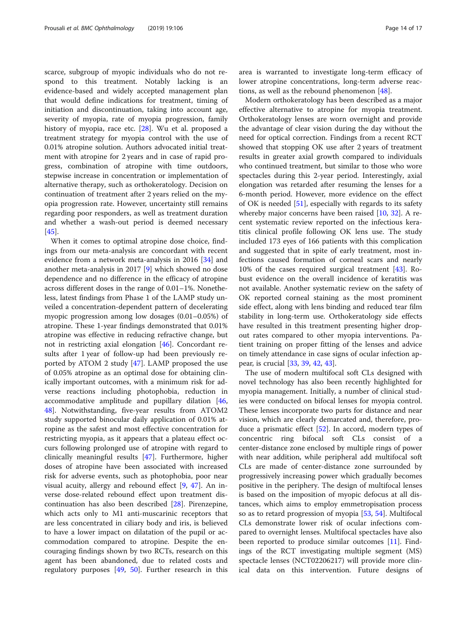scarce, subgroup of myopic individuals who do not respond to this treatment. Notably lacking is an evidence-based and widely accepted management plan that would define indications for treatment, timing of initiation and discontinuation, taking into account age, severity of myopia, rate of myopia progression, family history of myopia, race etc. [\[28](#page-16-0)]. Wu et al. proposed a treatment strategy for myopia control with the use of 0.01% atropine solution. Authors advocated initial treatment with atropine for 2 years and in case of rapid progress, combination of atropine with time outdoors, stepwise increase in concentration or implementation of alternative therapy, such as orthokeratology. Decision on continuation of treatment after 2 years relied on the myopia progression rate. However, uncertainty still remains regarding poor responders, as well as treatment duration and whether a wash-out period is deemed necessary [[45\]](#page-16-0).

When it comes to optimal atropine dose choice, findings from our meta-analysis are concordant with recent evidence from a network meta-analysis in 2016 [\[34](#page-16-0)] and another meta-analysis in 2017 [\[9](#page-15-0)] which showed no dose dependence and no difference in the efficacy of atropine across different doses in the range of 0.01–1%. Nonetheless, latest findings from Phase 1 of the LAMP study unveiled a concentration-dependent pattern of decelerating myopic progression among low dosages (0.01–0.05%) of atropine. These 1-year findings demonstrated that 0.01% atropine was effective in reducing refractive change, but not in restricting axial elongation [\[46](#page-16-0)]. Concordant results after 1 year of follow-up had been previously reported by ATOM 2 study [[47\]](#page-16-0). LAMP proposed the use of 0.05% atropine as an optimal dose for obtaining clinically important outcomes, with a minimum risk for adverse reactions including photophobia, reduction in accommodative amplitude and pupillary dilation [[46](#page-16-0), [48\]](#page-16-0). Notwithstanding, five-year results from ATOM2 study supported binocular daily application of 0.01% atropine as the safest and most effective concentration for restricting myopia, as it appears that a plateau effect occurs following prolonged use of atropine with regard to clinically meaningful results [\[47](#page-16-0)]. Furthermore, higher doses of atropine have been associated with increased risk for adverse events, such as photophobia, poor near visual acuity, allergy and rebound effect [\[9](#page-15-0), [47](#page-16-0)]. An inverse dose-related rebound effect upon treatment discontinuation has also been described [\[28\]](#page-16-0). Pirenzepine, which acts only to M1 anti-muscarinic receptors that are less concentrated in ciliary body and iris, is believed to have a lower impact on dilatation of the pupil or accommodation compared to atropine. Despite the encouraging findings shown by two RCTs, research on this agent has been abandoned, due to related costs and regulatory purposes [[49,](#page-16-0) [50\]](#page-16-0). Further research in this area is warranted to investigate long-term efficacy of lower atropine concentrations, long-term adverse reactions, as well as the rebound phenomenon [[48\]](#page-16-0).

Modern orthokeratology has been described as a major effective alternative to atropine for myopia treatment. Orthokeratology lenses are worn overnight and provide the advantage of clear vision during the day without the need for optical correction. Findings from a recent RCT showed that stopping OK use after 2 years of treatment results in greater axial growth compared to individuals who continued treatment, but similar to those who wore spectacles during this 2-year period. Interestingly, axial elongation was retarded after resuming the lenses for a 6-month period. However, more evidence on the effect of OK is needed  $[51]$  $[51]$  $[51]$ , especially with regards to its safety whereby major concerns have been raised [\[10](#page-15-0), [32](#page-16-0)]. A recent systematic review reported on the infectious keratitis clinical profile following OK lens use. The study included 173 eyes of 166 patients with this complication and suggested that in spite of early treatment, most infections caused formation of corneal scars and nearly 10% of the cases required surgical treatment [\[43](#page-16-0)]. Robust evidence on the overall incidence of keratitis was not available. Another systematic review on the safety of OK reported corneal staining as the most prominent side effect, along with lens binding and reduced tear film stability in long-term use. Orthokeratology side effects have resulted in this treatment presenting higher dropout rates compared to other myopia interventions. Patient training on proper fitting of the lenses and advice on timely attendance in case signs of ocular infection appear, is crucial [\[33](#page-16-0), [39](#page-16-0), [42](#page-16-0), [43](#page-16-0)].

The use of modern multifocal soft CLs designed with novel technology has also been recently highlighted for myopia management. Initially, a number of clinical studies were conducted on bifocal lenses for myopia control. These lenses incorporate two parts for distance and near vision, which are clearly demarcated and, therefore, produce a prismatic effect [\[52](#page-16-0)]. In accord, modern types of concentric ring bifocal soft CLs consist of a center-distance zone enclosed by multiple rings of power with near addition, while peripheral add multifocal soft CLs are made of center-distance zone surrounded by progressively increasing power which gradually becomes positive in the periphery. The design of multifocal lenses is based on the imposition of myopic defocus at all distances, which aims to employ emmetropisation process so as to retard progression of myopia [[53](#page-16-0), [54](#page-16-0)]. Multifocal CLs demonstrate lower risk of ocular infections compared to overnight lenses. Multifocal spectacles have also been reported to produce similar outcomes [\[11](#page-15-0)]. Findings of the RCT investigating multiple segment (MS) spectacle lenses (NCT02206217) will provide more clinical data on this intervention. Future designs of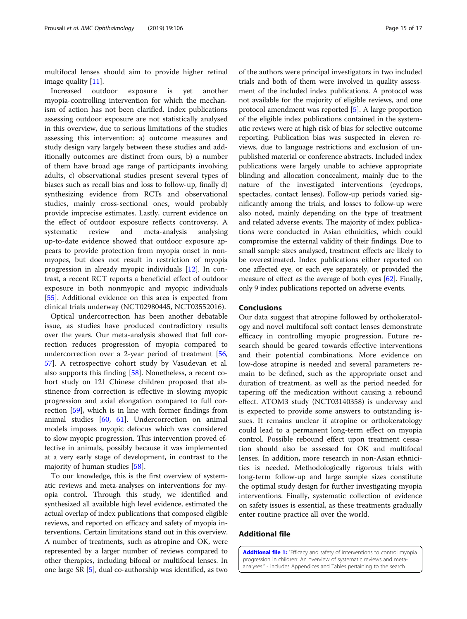<span id="page-14-0"></span>multifocal lenses should aim to provide higher retinal image quality [[11](#page-15-0)].

Increased outdoor exposure is yet another myopia-controlling intervention for which the mechanism of action has not been clarified. Index publications assessing outdoor exposure are not statistically analysed in this overview, due to serious limitations of the studies assessing this intervention: a) outcome measures and study design vary largely between these studies and additionally outcomes are distinct from ours, b) a number of them have broad age range of participants involving adults, c) observational studies present several types of biases such as recall bias and loss to follow-up, finally d) synthesizing evidence from RCTs and observational studies, mainly cross-sectional ones, would probably provide imprecise estimates. Lastly, current evidence on the effect of outdoor exposure reflects controversy. A systematic review and meta-analysis analysing up-to-date evidence showed that outdoor exposure appears to provide protection from myopia onset in nonmyopes, but does not result in restriction of myopia progression in already myopic individuals [[12](#page-15-0)]. In contrast, a recent RCT reports a beneficial effect of outdoor exposure in both nonmyopic and myopic individuals [[55\]](#page-16-0). Additional evidence on this area is expected from clinical trials underway (NCT02980445, NCT03552016).

Optical undercorrection has been another debatable issue, as studies have produced contradictory results over the years. Our meta-analysis showed that full correction reduces progression of myopia compared to undercorrection over a 2-year period of treatment [[56](#page-16-0), [57\]](#page-16-0). A retrospective cohort study by Vasudevan et al. also supports this finding [\[58](#page-16-0)]. Nonetheless, a recent cohort study on 121 Chinese children proposed that abstinence from correction is effective in slowing myopic progression and axial elongation compared to full correction [[59](#page-16-0)], which is in line with former findings from animal studies [[60](#page-16-0), [61](#page-16-0)]. Undercorrection on animal models imposes myopic defocus which was considered to slow myopic progression. This intervention proved effective in animals, possibly because it was implemented at a very early stage of development, in contrast to the majority of human studies [[58](#page-16-0)].

To our knowledge, this is the first overview of systematic reviews and meta-analyses on interventions for myopia control. Through this study, we identified and synthesized all available high level evidence, estimated the actual overlap of index publications that composed eligible reviews, and reported on efficacy and safety of myopia interventions. Certain limitations stand out in this overview. A number of treatments, such as atropine and OK, were represented by a larger number of reviews compared to other therapies, including bifocal or multifocal lenses. In one large SR [\[5\]](#page-15-0), dual co-authorship was identified, as two

of the authors were principal investigators in two included trials and both of them were involved in quality assessment of the included index publications. A protocol was not available for the majority of eligible reviews, and one protocol amendment was reported [\[5](#page-15-0)]. A large proportion of the eligible index publications contained in the systematic reviews were at high risk of bias for selective outcome reporting. Publication bias was suspected in eleven reviews, due to language restrictions and exclusion of unpublished material or conference abstracts. Included index publications were largely unable to achieve appropriate blinding and allocation concealment, mainly due to the nature of the investigated interventions (eyedrops, spectacles, contact lenses). Follow-up periods varied significantly among the trials, and losses to follow-up were also noted, mainly depending on the type of treatment and related adverse events. The majority of index publications were conducted in Asian ethnicities, which could compromise the external validity of their findings. Due to small sample sizes analysed, treatment effects are likely to be overestimated. Index publications either reported on one affected eye, or each eye separately, or provided the measure of effect as the average of both eyes [\[62\]](#page-16-0). Finally, only 9 index publications reported on adverse events.

#### Conclusions

Our data suggest that atropine followed by orthokeratology and novel multifocal soft contact lenses demonstrate efficacy in controlling myopic progression. Future research should be geared towards effective interventions and their potential combinations. More evidence on low-dose atropine is needed and several parameters remain to be defined, such as the appropriate onset and duration of treatment, as well as the period needed for tapering off the medication without causing a rebound effect. ATOM3 study (NCT03140358) is underway and is expected to provide some answers to outstanding issues. It remains unclear if atropine or orthokeratology could lead to a permanent long-term effect on myopia control. Possible rebound effect upon treatment cessation should also be assessed for OK and multifocal lenses. In addition, more research in non-Asian ethnicities is needed. Methodologically rigorous trials with long-term follow-up and large sample sizes constitute the optimal study design for further investigating myopia interventions. Finally, systematic collection of evidence on safety issues is essential, as these treatments gradually enter routine practice all over the world.

### Additional file

[Additional file 1:](https://doi.org/10.1186/s12886-019-1112-3) "Efficacy and safety of interventions to control myopia progression in children: An overview of systematic reviews and metaanalyses." - includes Appendices and Tables pertaining to the search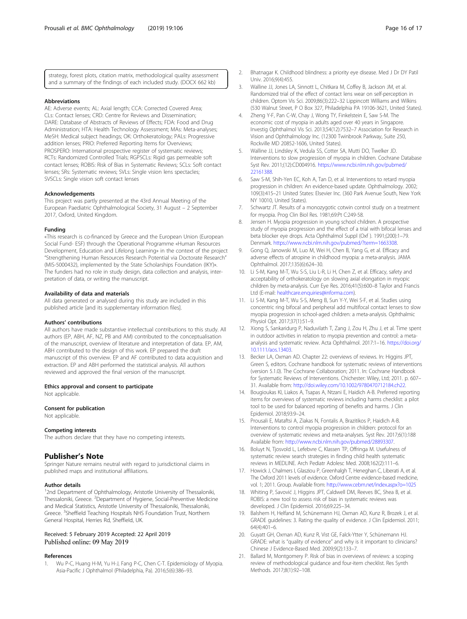<span id="page-15-0"></span>strategy, forest plots, citation matrix, methodological quality assessment and a summary of the findings of each included study. (DOCX 662 kb)

#### Abbreviations

AE: Adverse events; AL: Axial length; CCA: Corrected Covered Area; CLs: Contact lenses; CRD: Centre for Reviews and Dissemination; DARE: Database of Abstracts of Reviews of Effects; FDA: Food and Drug Administration; HTA: Health Technology Assessment; MAs: Meta-analyses; MeSH: Medical subject headings; OK: Orthokeratology; PALs: Progressive addition lenses; PRIO: Preferred Reporting Items for Overviews; PROSPERO: International prospective register of systematic reviews; RCTs: Randomized Controlled Trials; RGPSCLs: Rigid gas permeable soft contact lenses; ROBIS: Risk of Bias in Systematic Reviews; SCLs: Soft contact lenses; SRs: Systematic reviews; SVLs: Single vision lens spectacles; SVSCLs: Single vision soft contact lenses

#### Acknowledgements

This project was partly presented at the 43rd Annual Meeting of the European Paediatric Ophthalmological Society, 31 August – 2 September 2017, Oxford, United Kingdom.

#### Funding

«This research is co-financed by Greece and the European Union (European Social Fund- ESF) through the Operational Programme «Human Resources Development, Education and Lifelong Learning» in the context of the project "Strengthening Human Resources Research Potential via Doctorate Research" (MIS-5000432), implemented by the State Scholarships Foundation (ΙΚΥ)». The funders had no role in study design, data collection and analysis, interpretation of data, or writing the manuscript.

#### Availability of data and materials

All data generated or analysed during this study are included in this published article [and its supplementary information files].

#### Authors' contributions

All authors have made substantive intellectual contributions to this study. All authors (EP, ABH, AF, NZ, PB and AM) contributed to the conceptualisation of the manuscript, overview of literature and interpretation of data. EP, AM, ABH contributed to the design of this work. EP prepared the draft manuscript of this overview. EP and AF contributed to data acquisition and extraction. EP and ABH performed the statistical analysis. All authors reviewed and approved the final version of the manuscript.

#### Ethics approval and consent to participate

Not applicable.

#### Consent for publication

Not applicable.

#### Competing interests

The authors declare that they have no competing interests.

#### Publisher's Note

Springer Nature remains neutral with regard to jurisdictional claims in published maps and institutional affiliations.

#### Author details

<sup>1</sup>2nd Department of Ophthalmology, Aristotle University of Thessaloniki, Thessaloniki, Greece. <sup>2</sup>Department of Hygiene, Social-Preventive Medicine and Medical Statistics, Aristotle University of Thessaloniki, Thessaloniki, Greece. <sup>3</sup>Sheffield Teaching Hospitals NHS Foundation Trust, Northern General Hospital, Herries Rd, Sheffield, UK.

#### Received: 5 February 2019 Accepted: 22 April 2019 Published online: 09 May 2019

#### References

1. Wu P-C, Huang H-M, Yu H-J, Fang P-C, Chen C-T. Epidemiology of Myopia. Asia-Pacific J Ophthalmol (Philadelphia, Pa). 2016;5(6):386–93.

- 2. Bhatnagar K. Childhood blindness: a priority eye disease. Med J Dr DY Patil Univ. 2016;9(4):455.
- 3. Walline JJ, Jones LA, Sinnott L, Chitkara M, Coffey B, Jackson JM, et al. Randomized trial of the effect of contact lens wear on self-perception in children. Optom Vis Sci. 2009;86(3):222–32 Lippincott Williams and Wilkins (530 Walnut Street, P O Box 327, Philadelphia PA 19106-3621, United States).
- 4. Zheng Y-F, Pan C-W, Chay J, Wong TY, Finkelstein E, Saw S-M. The economic cost of myopia in adults aged over 40 years in Singapore. Investig Ophthalmol Vis Sci. 2013;54(12):7532–7 Association for Research in Vision and Ophthalmology Inc. (12300 Twinbrook Parkway, Suite 250, Rockville MD 20852-1606, United States).
- 5. Walline JJ, Lindsley K, Vedula SS, Cotter SA, Mutti DO, Twelker JD. Interventions to slow progression of myopia in children. Cochrane Database Syst Rev. 2011;(12):CD004916. [https://www.ncbi.nlm.nih.gov/pubmed/](https://www.ncbi.nlm.nih.gov/pubmed/22161388) [22161388](https://www.ncbi.nlm.nih.gov/pubmed/22161388).
- 6. Saw S-M, Shih-Yen EC, Koh A, Tan D, et al. Interventions to retard myopia progression in children: An evidence-based update. Ophthalmology. 2002; 109(3):415–21 United States: Elsevier Inc. (360 Park Avenue South, New York NY 10010, United States).
- 7. Schwartz JT. Results of a monozygotic cotwin control study on a treatment for myopia. Prog Clin Biol Res. 1981;69:Pt C:249-58.
- 8. Jensen H. Myopia progression in young school children. A prospective study of myopia progression and the effect of a trial with bifocal lenses and beta blocker eye drops. Acta Ophthalmol Suppl (Oxf ). 1991;(200):1–79. Denmark. <https://www.ncbi.nlm.nih.gov/pubmed/?term=1663308>.
- 9. Gong Q, Janowski M, Luo M, Wei H, Chen B, Yang G, et al. Efficacy and adverse effects of atropine in childhood myopia: a meta-analysis. JAMA Ophthalmol. 2017;135(6):624–30.
- 10. Li S-M, Kang M-T, Wu S-S, Liu L-R, Li H, Chen Z, et al. Efficacy, safety and acceptability of orthokeratology on slowing axial elongation in myopic children by meta-analysis. Curr Eye Res. 2016;41(5):600–8 Taylor and Francis Ltd (E-mail: [healthcare.enquiries@informa.com\)](mailto:healthcare.enquiries@informa.com).
- 11. Li S-M, Kang M-T, Wu S-S, Meng B, Sun Y-Y, Wei S-F, et al. Studies using concentric ring bifocal and peripheral add multifocal contact lenses to slow myopia progression in school-aged children: a meta-analysis. Ophthalmic Physiol Opt. 2017;37(1):51–9.
- 12. Xiong S, Sankaridurg P, Naduvilath T, Zang J, Zou H, Zhu J, et al. Time spent in outdoor activities in relation to myopia prevention and control: a metaanalysis and systematic review. Acta Ophthalmol. 2017:1–16. [https://doi.org/](https://doi.org/10.1111/aos.13403) [10.1111/aos.13403.](https://doi.org/10.1111/aos.13403)
- 13. Becker LA, Oxman AD. Chapter 22: overviews of reviews. In: Higgins JPT, Green S, editors. Cochrane handbook for systematic reviews of interventions (version 5.1.0). The Cochrane Collaboration; 2011. In: Cochrane Handbook for Systematic Reviews of Interventions. Chichester: Wiley, Ltd; 2011. p. 607– 31. Available from: [http://doi.wiley.com/10.1002/9780470712184.ch22.](http://doi.wiley.com/10.1002/9780470712184.ch22)
- 14. Bougioukas KI, Liakos A, Tsapas A, Ntzani E, Haidich A-B. Preferred reporting items for overviews of systematic reviews including harms checklist: a pilot tool to be used for balanced reporting of benefits and harms. J Clin Epidemiol. 2018;93:9–24.
- 15. Prousali E, Mataftsi A, Ziakas N, Fontalis A, Brazitikos P, Haidich A-B. Interventions to control myopia progression in children: protocol for an overview of systematic reviews and meta-analyses. Syst Rev. 2017;6(1):188 Available from: <http://www.ncbi.nlm.nih.gov/pubmed/28893307>.
- 16. Boluyt N, Tjosvold L, Lefebvre C, Klassen TP, Offringa M. Usefulness of systematic review search strategies in finding child health systematic reviews in MEDLINE. Arch Pediatr Adolesc Med. 2008;162(2):111–6.
- 17. Howick J, Chalmers I, Glasziou P, Greenhalgh T, Heneghan C, Liberati A, et al. The Oxford 2011 levels of evidence. Oxford Centre evidence-based medicine, vol. 1; 2011. Group. Available from: <http://www.cebm.net/index.aspx?o=1025>
- 18. Whiting P, Savović J, Higgins JPT, Caldwell DM, Reeves BC, Shea B, et al. ROBIS: a new tool to assess risk of bias in systematic reviews was developed. J Clin Epidemiol. 2016;69:225–34.
- 19. Balshem H, Helfand M, Schünemann HJ, Oxman AD, Kunz R, Brozek J, et al. GRADE guidelines: 3. Rating the quality of evidence. J Clin Epidemiol. 2011; 64(4):401–6.
- 20. Guyatt GH, Oxman AD, Kunz R, Vist GE, Falck-Ytter Y, Schünemann HJ. GRADE: what is "quality of evidence" and why is it important to clinicians? Chinese J Evidence-Based Med. 2009;9(2):133–7.
- 21. Ballard M, Montgomery P. Risk of bias in overviews of reviews: a scoping review of methodological guidance and four-item checklist. Res Synth Methods. 2017;8(1):92–108.